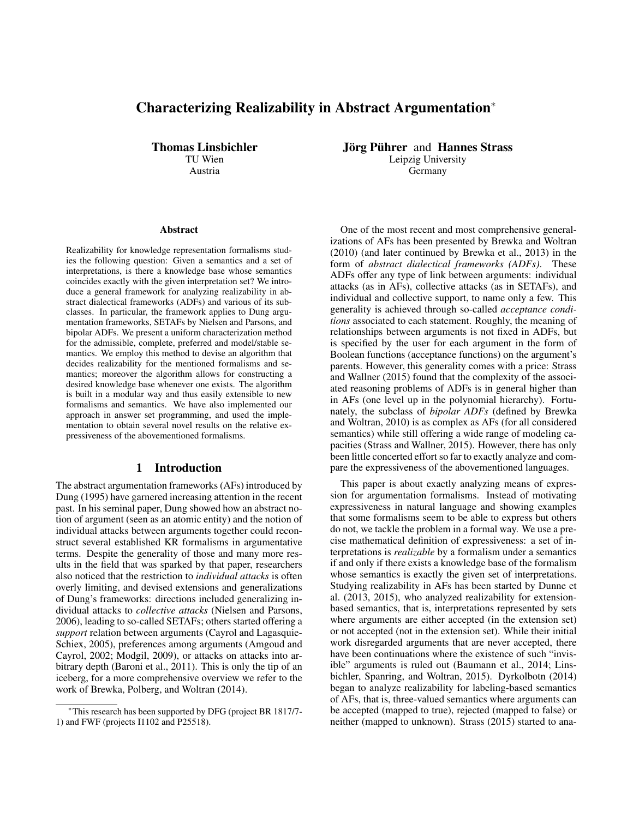## Characterizing Realizability in Abstract Argumentation<sup>∗</sup>

Thomas Linsbichler TU Wien Austria

#### Abstract

Realizability for knowledge representation formalisms studies the following question: Given a semantics and a set of interpretations, is there a knowledge base whose semantics coincides exactly with the given interpretation set? We introduce a general framework for analyzing realizability in abstract dialectical frameworks (ADFs) and various of its subclasses. In particular, the framework applies to Dung argumentation frameworks, SETAFs by Nielsen and Parsons, and bipolar ADFs. We present a uniform characterization method for the admissible, complete, preferred and model/stable semantics. We employ this method to devise an algorithm that decides realizability for the mentioned formalisms and semantics; moreover the algorithm allows for constructing a desired knowledge base whenever one exists. The algorithm is built in a modular way and thus easily extensible to new formalisms and semantics. We have also implemented our approach in answer set programming, and used the implementation to obtain several novel results on the relative expressiveness of the abovementioned formalisms.

## 1 Introduction

The abstract argumentation frameworks (AFs) introduced by Dung (1995) have garnered increasing attention in the recent past. In his seminal paper, Dung showed how an abstract notion of argument (seen as an atomic entity) and the notion of individual attacks between arguments together could reconstruct several established KR formalisms in argumentative terms. Despite the generality of those and many more results in the field that was sparked by that paper, researchers also noticed that the restriction to *individual attacks* is often overly limiting, and devised extensions and generalizations of Dung's frameworks: directions included generalizing individual attacks to *collective attacks* (Nielsen and Parsons, 2006), leading to so-called SETAFs; others started offering a *support* relation between arguments (Cayrol and Lagasquie-Schiex, 2005), preferences among arguments (Amgoud and Cayrol, 2002; Modgil, 2009), or attacks on attacks into arbitrary depth (Baroni et al., 2011). This is only the tip of an iceberg, for a more comprehensive overview we refer to the work of Brewka, Polberg, and Woltran (2014).

Jörg Pührer and Hannes Strass Leipzig University Germany

One of the most recent and most comprehensive generalizations of AFs has been presented by Brewka and Woltran (2010) (and later continued by Brewka et al., 2013) in the form of *abstract dialectical frameworks (ADFs)*. These ADFs offer any type of link between arguments: individual attacks (as in AFs), collective attacks (as in SETAFs), and individual and collective support, to name only a few. This generality is achieved through so-called *acceptance conditions* associated to each statement. Roughly, the meaning of relationships between arguments is not fixed in ADFs, but is specified by the user for each argument in the form of Boolean functions (acceptance functions) on the argument's parents. However, this generality comes with a price: Strass and Wallner (2015) found that the complexity of the associated reasoning problems of ADFs is in general higher than in AFs (one level up in the polynomial hierarchy). Fortunately, the subclass of *bipolar ADFs* (defined by Brewka and Woltran, 2010) is as complex as AFs (for all considered semantics) while still offering a wide range of modeling capacities (Strass and Wallner, 2015). However, there has only been little concerted effort so far to exactly analyze and compare the expressiveness of the abovementioned languages.

This paper is about exactly analyzing means of expression for argumentation formalisms. Instead of motivating expressiveness in natural language and showing examples that some formalisms seem to be able to express but others do not, we tackle the problem in a formal way. We use a precise mathematical definition of expressiveness: a set of interpretations is *realizable* by a formalism under a semantics if and only if there exists a knowledge base of the formalism whose semantics is exactly the given set of interpretations. Studying realizability in AFs has been started by Dunne et al. (2013, 2015), who analyzed realizability for extensionbased semantics, that is, interpretations represented by sets where arguments are either accepted (in the extension set) or not accepted (not in the extension set). While their initial work disregarded arguments that are never accepted, there have been continuations where the existence of such "invisible" arguments is ruled out (Baumann et al., 2014; Linsbichler, Spanring, and Woltran, 2015). Dyrkolbotn (2014) began to analyze realizability for labeling-based semantics of AFs, that is, three-valued semantics where arguments can be accepted (mapped to true), rejected (mapped to false) or neither (mapped to unknown). Strass (2015) started to ana-

<sup>∗</sup>This research has been supported by DFG (project BR 1817/7- 1) and FWF (projects I1102 and P25518).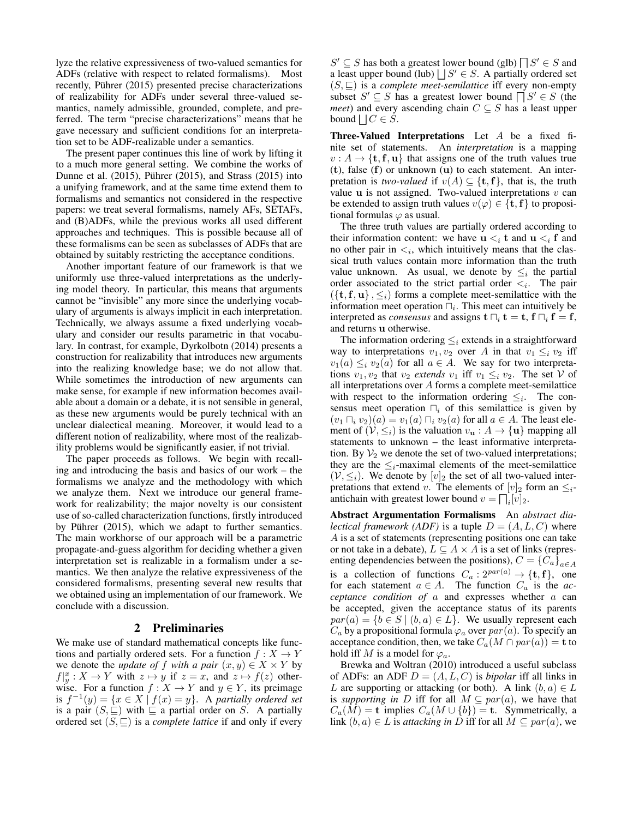lyze the relative expressiveness of two-valued semantics for ADFs (relative with respect to related formalisms). Most recently, Pührer (2015) presented precise characterizations of realizability for ADFs under several three-valued semantics, namely admissible, grounded, complete, and preferred. The term "precise characterizations" means that he gave necessary and sufficient conditions for an interpretation set to be ADF-realizable under a semantics.

The present paper continues this line of work by lifting it to a much more general setting. We combine the works of Dunne et al.  $(2015)$ , Pührer  $(2015)$ , and Strass  $(2015)$  into a unifying framework, and at the same time extend them to formalisms and semantics not considered in the respective papers: we treat several formalisms, namely AFs, SETAFs, and (B)ADFs, while the previous works all used different approaches and techniques. This is possible because all of these formalisms can be seen as subclasses of ADFs that are obtained by suitably restricting the acceptance conditions.

Another important feature of our framework is that we uniformly use three-valued interpretations as the underlying model theory. In particular, this means that arguments cannot be "invisible" any more since the underlying vocabulary of arguments is always implicit in each interpretation. Technically, we always assume a fixed underlying vocabulary and consider our results parametric in that vocabulary. In contrast, for example, Dyrkolbotn (2014) presents a construction for realizability that introduces new arguments into the realizing knowledge base; we do not allow that. While sometimes the introduction of new arguments can make sense, for example if new information becomes available about a domain or a debate, it is not sensible in general, as these new arguments would be purely technical with an unclear dialectical meaning. Moreover, it would lead to a different notion of realizability, where most of the realizability problems would be significantly easier, if not trivial.

The paper proceeds as follows. We begin with recalling and introducing the basis and basics of our work – the formalisms we analyze and the methodology with which we analyze them. Next we introduce our general framework for realizability; the major novelty is our consistent use of so-called characterization functions, firstly introduced by Pührer  $(2015)$ , which we adapt to further semantics. The main workhorse of our approach will be a parametric propagate-and-guess algorithm for deciding whether a given interpretation set is realizable in a formalism under a semantics. We then analyze the relative expressiveness of the considered formalisms, presenting several new results that we obtained using an implementation of our framework. We conclude with a discussion.

#### 2 Preliminaries

We make use of standard mathematical concepts like functions and partially ordered sets. For a function  $f : X \to Y$ we denote the *update of* f *with a pair*  $(x, y) \in X \times Y$  by  $f|_y^x : X \to Y$  with  $z \mapsto y$  if  $z = x$ , and  $z \mapsto f(z)$  otherwise. For a function  $f: X \to Y$  and  $y \in Y$ , its preimage is  $f^{-1}(y) = \{x \in X \mid f(x) = y\}$ . A *partially ordered set* is a pair  $(S, \subseteq)$  with  $\subseteq$  a partial order on S. A partially ordered set  $(S, \subseteq)$  is a *complete lattice* if and only if every

 $S' \subseteq S$  has both a greatest lower bound (glb)  $\bigcap S' \in S$  and a least upper bound (lub)  $\bigcup S' \in S$ . A partially ordered set  $(S, \sqsubseteq)$  is a *complete meet-semilattice* iff every non-empty subset  $S' \subseteq S$  has a greatest lower bound  $\bigcap S' \in S$  (the *meet*) and every ascending chain  $C \subseteq S$  has a least upper bound  $\bigsqcup C \in S$ .

Three-Valued Interpretations Let A be a fixed finite set of statements. An *interpretation* is a mapping  $v: A \rightarrow \{t, f, u\}$  that assigns one of the truth values true (t), false (f) or unknown (u) to each statement. An interpretation is *two-valued* if  $v(A) \subseteq \{t, f\}$ , that is, the truth value  $\bf{u}$  is not assigned. Two-valued interpretations  $v$  can be extended to assign truth values  $v(\varphi) \in \{\mathbf{t}, \mathbf{f}\}\$  to propositional formulas  $\varphi$  as usual.

The three truth values are partially ordered according to their information content: we have  $u \lt_i t$  and  $u \lt_i f$  and no other pair in  $\lt_i$ , which intuitively means that the classical truth values contain more information than the truth value unknown. As usual, we denote by  $\leq_i$  the partial order associated to the strict partial order  $\lt_i$ . The pair  $(\{\mathbf{t}, \mathbf{f}, \mathbf{u}\}, \leq_i)$  forms a complete meet-semilattice with the information meet operation  $\bigcap_i$ . This meet can intuitively be interpreted as *consensus* and assigns  $\mathbf{t} \sqcap_i \mathbf{t} = \mathbf{t}$ ,  $\mathbf{f} \sqcap_i \mathbf{f} = \mathbf{f}$ , and returns u otherwise.

The information ordering  $\leq_i$  extends in a straightforward way to interpretations  $v_1, v_2$  over A in that  $v_1 \leq_i v_2$  iff  $v_1(a) \leq_i v_2(a)$  for all  $a \in A$ . We say for two interpretations  $v_1, v_2$  that  $v_2$  *extends*  $v_1$  iff  $v_1 \leq_i v_2$ . The set V of all interpretations over A forms a complete meet-semilattice with respect to the information ordering  $\leq_i$ . The consensus meet operation  $\bigcap_i$  of this semilattice is given by  $(v_1 \sqcap_i v_2)(a) = v_1(a) \sqcap_i v_2(a)$  for all  $a \in A$ . The least element of  $(\mathcal{V}, \leq_i)$  is the valuation  $v_{\mathbf{u}} : A \to {\mathbf{u}}$  mapping all statements to unknown – the least informative interpretation. By  $\mathcal{V}_2$  we denote the set of two-valued interpretations; they are the  $\leq_i$ -maximal elements of the meet-semilattice  $(V, \leq_i)$ . We denote by  $[v]_2$  the set of all two-valued interpretations that extend v. The elements of  $[v]_2$  form an  $\leq_i$ antichain with greatest lower bound  $v = \prod_i [v]_2$ .

Abstract Argumentation Formalisms An *abstract dialectical framework (ADF)* is a tuple  $D = (A, L, C)$  where A is a set of statements (representing positions one can take or not take in a debate),  $L \subseteq A \times A$  is a set of links (representing dependencies between the positions),  $C = \{C_a\}_{a \in A}$ is a collection of functions  $C_a: 2^{par(a)} \to {\{\mathbf{t},\mathbf{f}\}}$ , one for each statement  $a \in A$ . The function  $C_a$  is the *acceptance condition of* a and expresses whether a can be accepted, given the acceptance status of its parents  $par(a) = \{b \in S \mid (b, a) \in L\}.$  We usually represent each  $C_a$  by a propositional formula  $\varphi_a$  over  $par(a)$ . To specify an acceptance condition, then, we take  $C_a(M \cap par(a)) = \mathbf{t}$  to hold iff M is a model for  $\varphi_a$ .

Brewka and Woltran (2010) introduced a useful subclass of ADFs: an ADF  $D = (A, L, C)$  is *bipolar* iff all links in L are supporting or attacking (or both). A link  $(b, a) \in L$ is *supporting in* D iff for all  $M \subseteq par(a)$ , we have that  $C_a(M) =$ **t** implies  $C_a(M \cup \{b\}) =$ **t**. Symmetrically, a link  $(b, a) \in L$  is *attacking in* D iff for all  $M \subseteq par(a)$ , we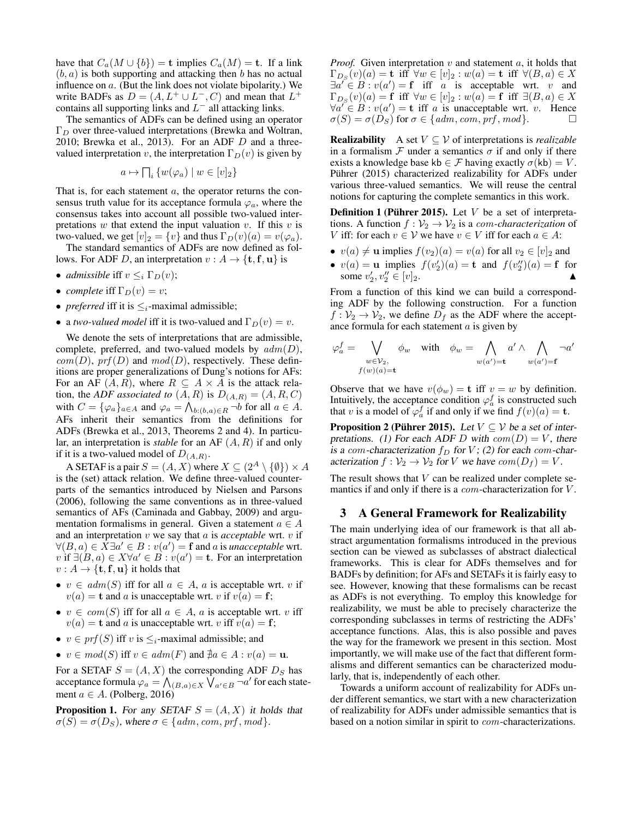have that  $C_a(M \cup \{b\}) = \mathbf{t}$  implies  $C_a(M) = \mathbf{t}$ . If a link  $(b, a)$  is both supporting and attacking then b has no actual influence on a. (But the link does not violate bipolarity.) We write BADFs as  $D = (A, L^+ \cup L^-, C)$  and mean that  $L^+$ contains all supporting links and  $L^-$  all attacking links.

The semantics of ADFs can be defined using an operator  $\Gamma_D$  over three-valued interpretations (Brewka and Woltran, 2010; Brewka et al., 2013). For an ADF  $D$  and a threevalued interpretation v, the interpretation  $\Gamma_D(v)$  is given by

$$
a \mapsto \bigcap_i \{w(\varphi_a) \mid w \in [v]_2\}
$$

That is, for each statement  $a$ , the operator returns the consensus truth value for its acceptance formula  $\varphi_a$ , where the consensus takes into account all possible two-valued interpretations  $w$  that extend the input valuation  $v$ . If this  $v$  is two-valued, we get  $[v]_2 = \{v\}$  and thus  $\Gamma_D(v)(a) = v(\varphi_a)$ .

The standard semantics of ADFs are now defined as follows. For ADF D, an interpretation  $v : A \rightarrow \{t, f, u\}$  is

- *admissible* iff  $v \leq_i \Gamma_D(v)$ ;
- *complete* iff  $\Gamma_D(v) = v$ ;
- *preferred* iff it is  $\leq_i$ -maximal admissible;
- a *two-valued model* iff it is two-valued and  $\Gamma_D(v) = v$ .

We denote the sets of interpretations that are admissible, complete, preferred, and two-valued models by  $adm(D)$ ,  $com(D)$ ,  $prf(D)$  and  $mod(D)$ , respectively. These definitions are proper generalizations of Dung's notions for AFs: For an AF  $(A, R)$ , where  $R \subseteq A \times A$  is the attack relation, the *ADF* associated to  $(\overline{A}, R)$  is  $D_{(A,R)} = (A, R, C)$ with  $C = {\varphi_a}_{a \in A}$  and  $\varphi_a = \bigwedge_{b:(b,a) \in R} \neg b$  for all  $a \in A$ . AFs inherit their semantics from the definitions for ADFs (Brewka et al., 2013, Theorems 2 and 4). In particular, an interpretation is *stable* for an AF (A, R) if and only if it is a two-valued model of  $D_{(A,R)}$ .

A SETAF is a pair  $S = (A, X)$  where  $X \subseteq (2^A \setminus \{\emptyset\}) \times A$ is the (set) attack relation. We define three-valued counterparts of the semantics introduced by Nielsen and Parsons (2006), following the same conventions as in three-valued semantics of AFs (Caminada and Gabbay, 2009) and argumentation formalisms in general. Given a statement  $a \in A$ and an interpretation v we say that a is *acceptable* wrt. v if  $\forall (B,a) \in \overline{X} \exists a' \in B : v(a') = \mathbf{f}$  and  $a$  is *unacceptable* wrt. v if ∃(B, a) ∈  $X \forall a' \in B : v(a') = t$ . For an interpretation  $v: A \rightarrow \{t, f, u\}$  it holds that

- $v \in \text{adm}(S)$  iff for all  $a \in A$ , a is acceptable wrt. v if  $v(a) = \mathbf{t}$  and a is unacceptable wrt. v if  $v(a) = \mathbf{f}$ ;
- $v \in com(S)$  iff for all  $a \in A$ , a is acceptable wrt. v iff  $v(a) = \mathbf{t}$  and a is unacceptable wrt. v iff  $v(a) = \mathbf{f}$ ;
- $v \in prf(S)$  iff v is  $\leq_i$ -maximal admissible; and
- $v \in mod(S)$  iff  $v \in adm(F)$  and  $\forall a \in A : v(a) = u$ .

For a SETAF  $S = (A, X)$  the corresponding ADF  $D<sub>S</sub>$  has acceptance formula  $\varphi_a = \bigwedge_{(B,a) \in X} \bigvee_{a' \in B} \neg a'$  for each statement  $a \in A$ . (Polberg, 2016)

**Proposition 1.** For any SETAF  $S = (A, X)$  it holds that  $\sigma(S) = \sigma(D_S)$ , where  $\sigma \in \{adm, com, prf, mod\}$ .

*Proof.* Given interpretation  $v$  and statement  $a$ , it holds that  $\Gamma_{D_S}(v)(a) = \mathbf{t}$  iff  $\forall w \in [v]_2 : w(a) = \mathbf{t}$  iff  $\forall (B, a) \in X$  $\exists a' \in B : v(a') = \mathbf{f}$  iff a is acceptable wrt. v and  $\Gamma_{D_S}(v)(a) = \mathbf{f}$  iff  $\forall w \in [v]_2 : w(a) = \mathbf{f}$  iff  $\exists (B, a) \in X$  $\forall a' \in B : v(a') = \mathbf{t}$  iff a is unacceptable wrt. v. Hence  $\sigma(S) = \sigma(D_S)$  for  $\sigma \in \{adm, com, prf, mod\}.$ 

**Realizability** A set  $V \subseteq V$  of interpretations is *realizable* in a formalism  $\mathcal F$  under a semantics  $\sigma$  if and only if there exists a knowledge base kb  $\in \mathcal{F}$  having exactly  $\sigma(kb) = V$ . Pührer (2015) characterized realizability for ADFs under various three-valued semantics. We will reuse the central notions for capturing the complete semantics in this work.

**Definition 1 (Pührer 2015).** Let  $V$  be a set of interpretations. A function  $f: \mathcal{V}_2 \to \mathcal{V}_2$  is a *com-characterization* of V iff: for each  $v \in V$  we have  $v \in V$  iff for each  $a \in A$ :

- $v(a) \neq u$  implies  $f(v_2)(a) = v(a)$  for all  $v_2 \in [v]_2$  and
- $v(a) = \mathbf{u}$  implies  $f(v_2')(a) = \mathbf{t}$  and  $f(v_2'')(a) = \mathbf{f}$  for some  $v'_2, v''_2 \in [v]_2$ .

From a function of this kind we can build a corresponding ADF by the following construction. For a function  $f: \mathcal{V}_2 \to \mathcal{V}_2$ , we define  $D_f$  as the ADF where the acceptance formula for each statement  $\alpha$  is given by

$$
\varphi_a^f = \bigvee_{\substack{w \in \mathcal{V}_2, \\ f(w)(a) = \mathbf{t}}} \phi_w \quad \text{with} \quad \phi_w = \bigwedge_{\substack{w(a') = \mathbf{t}}} a' \wedge \bigwedge_{\substack{w(a') = \mathbf{f}}} \neg a'
$$

Observe that we have  $v(\phi_w) = \mathbf{t}$  iff  $v = w$  by definition. Intuitively, the acceptance condition  $\varphi_a^f$  is constructed such that v is a model of  $\varphi_a^f$  if and only if we find  $f(v)(a) = \mathbf{t}$ .

**Proposition 2 (Pührer 2015).** Let  $V \subseteq V$  be a set of interpretations. (1) For each ADF D with  $com(D) = V$ , there is a com-characterization  $f_D$  for V; (2) for each com-characterization  $f: V_2 \to V_2$  for V we have  $com(D_f) = V$ .

The result shows that  $V$  can be realized under complete semantics if and only if there is a *com*-characterization for V.

## 3 A General Framework for Realizability

The main underlying idea of our framework is that all abstract argumentation formalisms introduced in the previous section can be viewed as subclasses of abstract dialectical frameworks. This is clear for ADFs themselves and for BADFs by definition; for AFs and SETAFs it is fairly easy to see. However, knowing that these formalisms can be recast as ADFs is not everything. To employ this knowledge for realizability, we must be able to precisely characterize the corresponding subclasses in terms of restricting the ADFs' acceptance functions. Alas, this is also possible and paves the way for the framework we present in this section. Most importantly, we will make use of the fact that different formalisms and different semantics can be characterized modularly, that is, independently of each other.

Towards a uniform account of realizability for ADFs under different semantics, we start with a new characterization of realizability for ADFs under admissible semantics that is based on a notion similar in spirit to com-characterizations.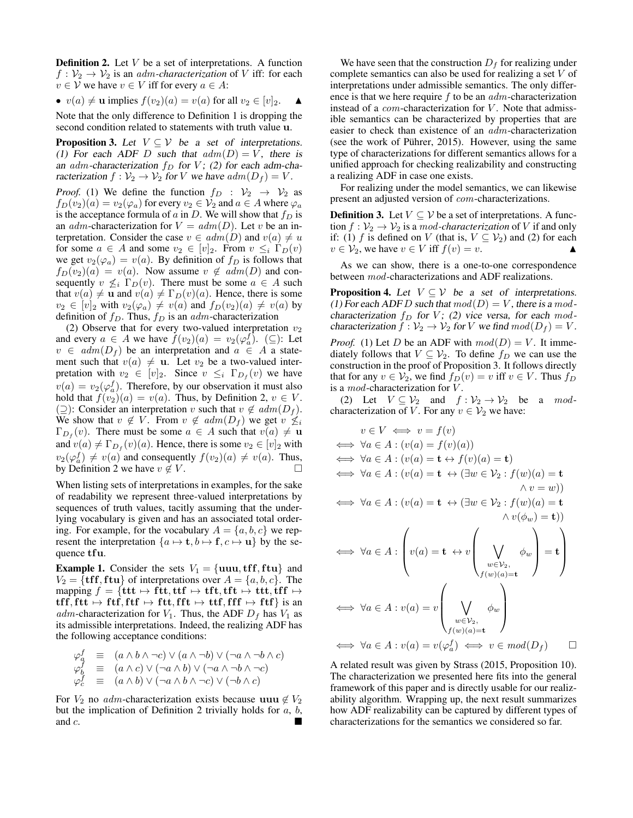**Definition 2.** Let  $V$  be a set of interpretations. A function  $f: V_2 \to V_2$  is an *adm-characterization* of V iff: for each  $v \in V$  we have  $v \in V$  iff for every  $a \in A$ :

• 
$$
v(a) \neq \mathbf{u}
$$
 implies  $f(v_2)(a) = v(a)$  for all  $v_2 \in [v]_2$ .

Note that the only difference to Definition 1 is dropping the second condition related to statements with truth value u.

**Proposition 3.** Let  $V \subseteq V$  be a set of interpretations. (1) For each ADF D such that  $adm(D) = V$ , there is an adm-characterization  $f_D$  for V; (2) for each adm-characterization  $f: V_2 \to V_2$  for V we have  $adm(D_f) = V$ .

*Proof.* (1) We define the function  $f_D : V_2 \rightarrow V_2$  as  $f_D(v_2)(a) = v_2(\varphi_a)$  for every  $v_2 \in V_2$  and  $a \in A$  where  $\varphi_a$ is the acceptance formula of a in D. We will show that  $f_D$  is an *adm*-characterization for  $V = adm(D)$ . Let v be an interpretation. Consider the case  $v \in \text{adm}(D)$  and  $v(a) \neq u$ for some  $a \in A$  and some  $v_2 \in [v]_2$ . From  $v \leq_i \Gamma_D(v)$ we get  $v_2(\varphi_a) = v(a)$ . By definition of  $f_D$  is follows that  $f_D(v_2)(a) = v(a)$ . Now assume  $v \notin \text{adm}(D)$  and consequently  $v \nleq_i \Gamma_D(v)$ . There must be some  $a \in A$  such that  $v(a) \neq u$  and  $v(a) \neq \Gamma_D(v)(a)$ . Hence, there is some  $v_2 \in [v]_2$  with  $v_2(\varphi_a) \neq v(a)$  and  $f_D(v_2)(a) \neq v(a)$  by definition of  $f_D$ . Thus,  $f_D$  is an  $adm$ -characterization

(2) Observe that for every two-valued interpretation  $v_2$ and every  $a \in A$  we have  $f(v_2)(a) = v_2(\varphi_a^f)$ . (⊆): Let  $v \in \text{adm}(D_f)$  be an interpretation and  $a \in A$  a statement such that  $v(a) \neq u$ . Let  $v_2$  be a two-valued interpretation with  $v_2 \in [v]_2$ . Since  $v \leq_i \Gamma_{D_f}(v)$  we have  $v(a) = v_2(\varphi_a^f)$ . Therefore, by our observation it must also hold that  $f(v_2)(a) = v(a)$ . Thus, by Definition 2,  $v \in V$ . (⊇): Consider an interpretation v such that  $v \notin adm(D_f)$ . We show that  $v \notin V$ . From  $v \notin adm(D_f)$  we get  $v \nleq i$  $\Gamma_{D_f}(v)$ . There must be some  $a \in A$  such that  $v(a) \neq \mathbf{u}$ and  $v(a) \neq \Gamma_{D_f}(v)(a)$ . Hence, there is some  $v_2 \in [v]_2$  with  $v_2(\varphi_a^f) \neq v(a)$  and consequently  $f(v_2)(a) \neq v(a)$ . Thus, by Definition 2 we have  $v \notin V$ .

When listing sets of interpretations in examples, for the sake of readability we represent three-valued interpretations by sequences of truth values, tacitly assuming that the underlying vocabulary is given and has an associated total ordering. For example, for the vocabulary  $A = \{a, b, c\}$  we represent the interpretation  $\{a \mapsto t, b \mapsto f, c \mapsto u\}$  by the sequence tfu.

**Example 1.** Consider the sets  $V_1 = \{uuu, tff, ftu\}$  and  $V_2 = \{ \text{tff}, \text{ftu} \}$  of interpretations over  $A = \{a, b, c\}$ . The mapping  $f = \{ \text{ttt} \mapsto \text{ftt}, \text{ttf} \mapsto \text{ttt}, \text{ttft} \mapsto \text{ttt}, \text{ttf} \mapsto \}$ tff, ftt  $\mapsto$  ftf, ftf  $\mapsto$  ftt, fft  $\mapsto$  ttf, fff  $\mapsto$  ftf} is an adm-characterization for  $V_1$ . Thus, the ADF  $D_f$  has  $V_1$  as its admissible interpretations. Indeed, the realizing ADF has the following acceptance conditions:

$$
\varphi_d^f \equiv (a \wedge b \wedge \neg c) \vee (a \wedge \neg b) \vee (\neg a \wedge \neg b \wedge c)
$$
  
\n
$$
\varphi_d^f \equiv (a \wedge c) \vee (\neg a \wedge b) \vee (\neg a \wedge \neg b \wedge \neg c)
$$
  
\n
$$
\varphi_c^f \equiv (a \wedge b) \vee (\neg a \wedge b \wedge \neg c) \vee (\neg b \wedge c)
$$

For  $V_2$  no *adm*-characterization exists because uuu  $\notin V_2$ but the implication of Definition 2 trivially holds for  $a, b$ , and c.

We have seen that the construction  $D_f$  for realizing under complete semantics can also be used for realizing a set V of interpretations under admissible semantics. The only difference is that we here require  $f$  to be an  $adm$ -characterization instead of a  $com$ -characterization for  $V$ . Note that admissible semantics can be characterized by properties that are easier to check than existence of an adm-characterization (see the work of Pührer, 2015). However, using the same type of characterizations for different semantics allows for a unified approach for checking realizability and constructing a realizing ADF in case one exists.

For realizing under the model semantics, we can likewise present an adjusted version of *com*-characterizations.

**Definition 3.** Let  $V \subseteq V$  be a set of interpretations. A function  $f: V_2 \to V_2$  is a *mod-characterization* of V if and only if: (1) f is defined on V (that is,  $V \subseteq V_2$ ) and (2) for each  $v \in V_2$ , we have  $v \in V$  iff  $f(v) = v$ .

As we can show, there is a one-to-one correspondence between mod-characterizations and ADF realizations.

**Proposition 4.** Let  $V \subseteq V$  be a set of interpretations. (1) For each ADF D such that  $mod(D) = V$ , there is a modcharacterization  $f_D$  for V; (2) vice versa, for each modcharacterization  $f: V_2 \to V_2$  for V we find  $mod(D_f) = V$ .

*Proof.* (1) Let D be an ADF with  $mod(D) = V$ . It immediately follows that  $V \subseteq V_2$ . To define  $f_D$  we can use the construction in the proof of Proposition 3. It follows directly that for any  $v \in V_2$ , we find  $f_D(v) = v$  iff  $v \in V$ . Thus  $f_D$ is a *mod*-characterization for V.

(2) Let  $V \subseteq V_2$  and  $f : V_2 \to V_2$  be a modcharacterization of V. For any  $v \in V_2$  we have:

$$
v \in V \iff v = f(v)
$$
  
\n
$$
\iff \forall a \in A : (v(a) = f(v)(a))
$$
  
\n
$$
\iff \forall a \in A : (v(a) = \mathbf{t} \leftrightarrow f(v)(a) = \mathbf{t})
$$
  
\n
$$
\iff \forall a \in A : (v(a) = \mathbf{t} \leftrightarrow (\exists w \in V_2 : f(w)(a) = \mathbf{t} \land v = w))
$$
  
\n
$$
\iff \forall a \in A : (v(a) = \mathbf{t} \leftrightarrow (\exists w \in V_2 : f(w)(a) = \mathbf{t} \land v = w))
$$
  
\n
$$
\iff \forall a \in A : (v(a) = \mathbf{t} \leftrightarrow v \left( \bigvee_{w \in V_2, \atop f(w)(a) = \mathbf{t}} \phi_w \right) = \mathbf{t} \right)
$$
  
\n
$$
\iff \forall a \in A : v(a) = v \left( \bigvee_{w \in V_2, \atop f(w)(a) = \mathbf{t}} \phi_w \right)
$$
  
\n
$$
\iff \forall a \in A : v(a) = v(\varphi_a^f) \iff v \in mod(D_f) \qquad \Box
$$

A related result was given by Strass (2015, Proposition 10). The characterization we presented here fits into the general framework of this paper and is directly usable for our realizability algorithm. Wrapping up, the next result summarizes how ADF realizability can be captured by different types of characterizations for the semantics we considered so far.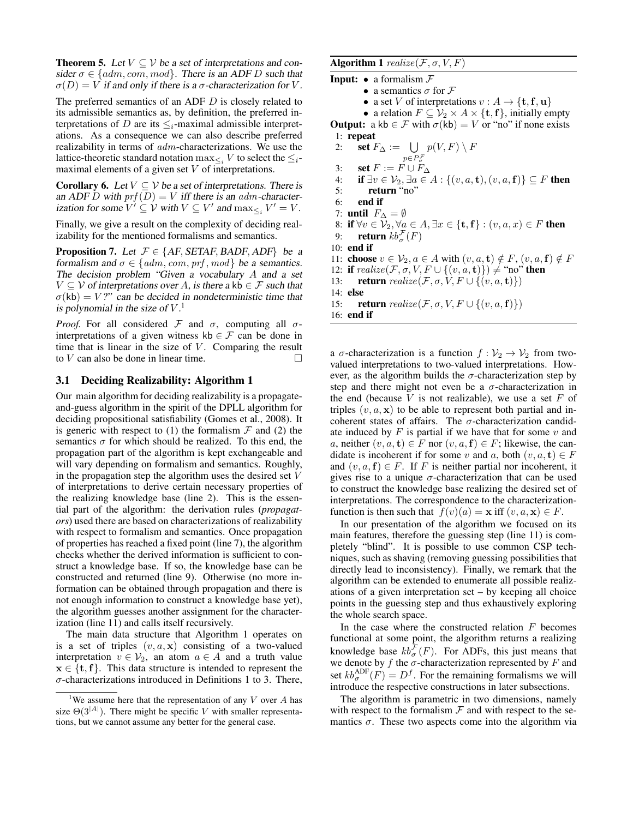**Theorem 5.** Let  $V \subseteq V$  be a set of interpretations and consider  $\sigma \in \{adm, com, mod\}$ . There is an ADF D such that  $\sigma(D) = V$  if and only if there is a  $\sigma$ -characterization for V.

The preferred semantics of an ADF D is closely related to its admissible semantics as, by definition, the preferred interpretations of D are its  $\leq_i$ -maximal admissible interpretations. As a consequence we can also describe preferred realizability in terms of adm-characterizations. We use the lattice-theoretic standard notation  $\max_{i \in \mathcal{N}} V$  to select the  $\leq_i$ maximal elements of a given set  $V$  of interpretations.

**Corollary 6.** Let  $V \subseteq V$  be a set of interpretations. There is an ADF D with  $prf(D) = V$  iff there is an adm-characterization for some  $V' \subseteq V$  with  $V \subseteq V'$  and  $\max_{\leq i} V' = V$ .

Finally, we give a result on the complexity of deciding realizability for the mentioned formalisms and semantics.

**Proposition 7.** Let  $\mathcal{F} \in \{AF, SETAF, BADF, ADF\}$  be a formalism and  $\sigma \in \{adm, com, prf, mod\}$  be a semantics. The decision problem "Given a vocabulary A and a set  $V \subset V$  of interpretations over A, is there a kb  $\in \mathcal{F}$  such that  $\sigma(kb) = V$ ?" can be decided in nondeterministic time that is polynomial in the size of  $V<sup>1</sup>$ .

*Proof.* For all considered  $\mathcal F$  and  $\sigma$ , computing all  $\sigma$ interpretations of a given witness  $kb \in \mathcal{F}$  can be done in time that is linear in the size of  $V$ . Comparing the result to  $V$  can also be done in linear time.  $\Box$ 

## 3.1 Deciding Realizability: Algorithm 1

Our main algorithm for deciding realizability is a propagateand-guess algorithm in the spirit of the DPLL algorithm for deciding propositional satisfiability (Gomes et al., 2008). It is generic with respect to (1) the formalism  $\mathcal F$  and (2) the semantics  $\sigma$  for which should be realized. To this end, the propagation part of the algorithm is kept exchangeable and will vary depending on formalism and semantics. Roughly, in the propagation step the algorithm uses the desired set  $V$ of interpretations to derive certain necessary properties of the realizing knowledge base (line 2). This is the essential part of the algorithm: the derivation rules (*propagators*) used there are based on characterizations of realizability with respect to formalism and semantics. Once propagation of properties has reached a fixed point (line 7), the algorithm checks whether the derived information is sufficient to construct a knowledge base. If so, the knowledge base can be constructed and returned (line 9). Otherwise (no more information can be obtained through propagation and there is not enough information to construct a knowledge base yet), the algorithm guesses another assignment for the characterization (line 11) and calls itself recursively.

The main data structure that Algorithm 1 operates on is a set of triples  $(v, a, x)$  consisting of a two-valued interpretation  $v \in V_2$ , an atom  $a \in A$  and a truth value  $x \in \{t, f\}$ . This data structure is intended to represent the  $\sigma$ -characterizations introduced in Definitions 1 to 3. There,

### Algorithm 1  $\text{realize}(\mathcal{F}, \sigma, V, F)$

**Input:** • a formalism  $\mathcal{F}$ 

- a semantics  $\sigma$  for  $\mathcal F$
- a set V of interpretations  $v : A \to \{t, f, u\}$

• a relation  $F \subseteq V_2 \times A \times \{\mathbf{t}, \mathbf{f}\}\)$ , initially empty **Output:** a kb  $\in \mathcal{F}$  with  $\sigma$ (kb) = V or "no" if none exists

1: repeat 2: set  $F_{\Delta} := \bigcup$  $p \in P^{\mathcal{F}}_{\sigma}$  $p(V,F)\setminus F$ 3: set  $F := F \cup F_{\Delta}$ 4: if  $\exists v \in \mathcal{V}_2, \exists a \in A : \{(v, a, t), (v, a, f)\} \subseteq F$  then 5: return "no" 6: end if 7: **until**  $F_{\Delta} = \emptyset$ 8: if  $\forall v \in \mathcal{V}_2, \forall a \in A, \exists x \in \{\textbf{t}, \textbf{f}\} : (v, a, x) \in F$  then 9: **return**  $kb_{\sigma}^{\mathcal{F}}(F)$ 10: end if 11: **choose**  $v \in V_2$ ,  $a \in A$  with  $(v, a, t) \notin F$ ,  $(v, a, f) \notin F$ 12: if  $\text{realize}(\mathcal{F}, \sigma, V, F \cup \{(v, a, t)\}) \neq \text{``no''}$  then 13: **return** realize( $\mathcal{F}, \sigma, V, F \cup \{(v, a, t)\}\)$ 14: else 15: **return** realize( $\mathcal{F}, \sigma, V, F \cup \{(v, a, f)\}\)$ 16: end if

a  $\sigma$ -characterization is a function  $f : \mathcal{V}_2 \to \mathcal{V}_2$  from twovalued interpretations to two-valued interpretations. However, as the algorithm builds the  $\sigma$ -characterization step by step and there might not even be a  $\sigma$ -characterization in the end (because  $V$  is not realizable), we use a set  $F$  of triples  $(v, a, x)$  to be able to represent both partial and incoherent states of affairs. The  $\sigma$ -characterization candidate induced by  $F$  is partial if we have that for some  $v$  and a, neither  $(v, a, t) \in F$  nor  $(v, a, f) \in F$ ; likewise, the candidate is incoherent if for some v and a, both  $(v, a, t) \in F$ and  $(v, a, f) \in F$ . If F is neither partial nor incoherent, it gives rise to a unique  $\sigma$ -characterization that can be used to construct the knowledge base realizing the desired set of interpretations. The correspondence to the characterizationfunction is then such that  $f(v)(a) = \mathbf{x}$  iff  $(v, a, \mathbf{x}) \in F$ .

In our presentation of the algorithm we focused on its main features, therefore the guessing step (line 11) is completely "blind". It is possible to use common CSP techniques, such as shaving (removing guessing possibilities that directly lead to inconsistency). Finally, we remark that the algorithm can be extended to enumerate all possible realizations of a given interpretation set – by keeping all choice points in the guessing step and thus exhaustively exploring the whole search space.

In the case where the constructed relation  $F$  becomes functional at some point, the algorithm returns a realizing knowledge base  $kb_{\sigma}^{\mathcal{F}}(F)$ . For ADFs, this just means that we denote by f the  $\sigma$ -characterization represented by F and set  $kb_{\sigma}^{\text{ADF}}(F) = D^f$ . For the remaining formalisms we will introduce the respective constructions in later subsections.

The algorithm is parametric in two dimensions, namely with respect to the formalism  $\mathcal F$  and with respect to the semantics  $\sigma$ . These two aspects come into the algorithm via

<sup>&</sup>lt;sup>1</sup>We assume here that the representation of any  $V$  over  $A$  has size  $\Theta(3^{|A|})$ . There might be specific V with smaller representations, but we cannot assume any better for the general case.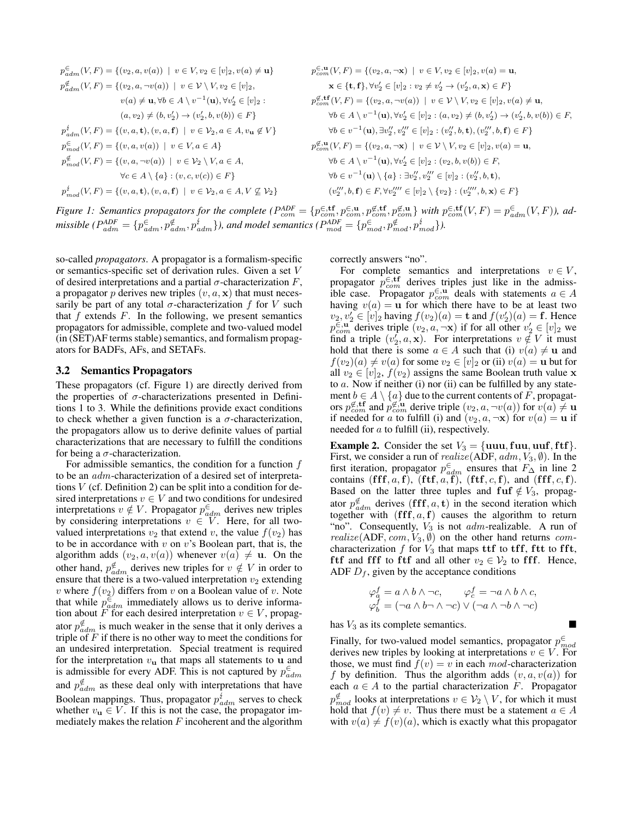$$
p_{adm}^{\epsilon}(V, F) = \{(v_2, a, v(a)) \mid v \in V, v_2 \in [v]_2, v(a) \neq \mathbf{u}, \forall b \in A \setminus v^{-1}(\mathbf{u}), \forall v_2' \in [v]_2 : (v_2, a, \neg x) \mid v \in V, v_2 \in [v]_2, v(a) = \mathbf{u}, \forall b \in A \setminus v^{-1}(\mathbf{u}), \forall v_2' \in [v]_2 : (a, v_2) \neq (b, v_2') \rightarrow (v_2', b, v(b)) \in F\}
$$
\n
$$
p_{radm}^{\epsilon}(V, F) = \{(v_2, a, \neg v(a)) \mid v \in V \setminus V, v_2 \in [v]_2 : (v_2, a, \neg v(a)) \mid v \in V \setminus V, v_2 \in [v]_2, v(a) \neq \mathbf{u}, \forall b \in A \setminus v^{-1}(\mathbf{u}), \forall v_2' \in [v]_2 : (a, v_2) \neq (b, v_2') \rightarrow (v_2', b, v(b)) \in F\}
$$
\n
$$
p_{radm}^{\epsilon}(V, F) = \{(v, a, \mathbf{t}), (v, a, \mathbf{f}) \mid v \in V_2, a \in A, v_{\mathbf{u}} \notin V\}
$$
\n
$$
p_{mod}^{\epsilon}(V, F) = \{(v, a, v(a)) \mid v \in V, a \in A\}
$$
\n
$$
p_{mod}^{\epsilon}(V, F) = \{(v, a, v(a)) \mid v \in V, a \in A\}
$$
\n
$$
p_{mod}^{\epsilon}(V, F) = \{(v, a, v(a)) \mid v \in V_2 \setminus V, a \in A, \forall b \in v^{-1}(\mathbf{u}), \forall v_2' \in [v]_2 : (v_2'', b, \mathbf{t}), (v_2'', b, \mathbf{f}) \in F\}
$$
\n
$$
p_{mod}^{\epsilon}(V, F) = \{(v, a, v(a)) \mid v \in V_2 \setminus V, a \in A, \forall b \in v^{-1}(\mathbf{u}), \forall v_2' \in [v]_2 : (v_2', b, \mathbf{t}), (v_2'', b, \mathbf{f}) \in F, \forall b \in v^{-1}(\mathbf{u}) \set
$$

*Figure 1: Semantics propagators for the complete* ( $P_{com}^{ADF} = \{p_{com}^{\in,\text{tf}}, p_{com}^{\in,\text{u}}, p_{com}^{\notin,\text{tf}}, p_{com}^{\notin,\text{u}}\}$  *with*  $p_{com}^{\in,\text{tf}}(V, F) = p_{adm}^{\in}(V, F)$ *), ad* $missible$  ( $P_{adm}^{AMP} = {p_{adm}^{\in} , p_{adm}^{\notin} , p_{adm}^{\notin} }$ ), and model semantics ( $P_{mod}^{AMP} = {p_{mod}^{\in} , p_{mod}^{\notin} , p_{mod}^{\notin} }$ ).

so-called *propagators*. A propagator is a formalism-specific or semantics-specific set of derivation rules. Given a set V of desired interpretations and a partial  $\sigma$ -characterization  $F$ , a propagator p derives new triples  $(v, a, x)$  that must necessarily be part of any total  $\sigma$ -characterization f for V such that  $f$  extends  $F$ . In the following, we present semantics propagators for admissible, complete and two-valued model (in (SET)AF terms stable) semantics, and formalism propagators for BADFs, AFs, and SETAFs.

#### 3.2 Semantics Propagators

These propagators (cf. Figure 1) are directly derived from the properties of  $\sigma$ -characterizations presented in Definitions 1 to 3. While the definitions provide exact conditions to check whether a given function is a  $\sigma$ -characterization, the propagators allow us to derive definite values of partial characterizations that are necessary to fulfill the conditions for being a  $\sigma$ -characterization.

For admissible semantics, the condition for a function  $f$ to be an adm-characterization of a desired set of interpretations  $V$  (cf. Definition 2) can be split into a condition for desired interpretations  $v \in V$  and two conditions for undesired interpretations  $v \notin V$ . Propagator  $p_{adm}^{\infty}$  derives new triples by considering interpretations  $v \in V$ . Here, for all twovalued interpretations  $v_2$  that extend v, the value  $f(v_2)$  has to be in accordance with  $v$  on  $v$ 's Boolean part, that is, the algorithm adds  $(v_2, a, v(a))$  whenever  $v(a) \neq \mathbf{u}$ . On the other hand,  $p_{adm}^{\notin}$  derives new triples for  $v \notin V$  in order to ensure that there is a two-valued interpretation  $v_2$  extending v where  $f(v_2)$  differs from v on a Boolean value of v. Note that while  $p_{adm}^{\bar{\epsilon}}$  immediately allows us to derive information about F for each desired interpretation  $v \in V$ , propagator  $p_{adm}^{\notin}$  is much weaker in the sense that it only derives a triple of  $F$  if there is no other way to meet the conditions for an undesired interpretation. Special treatment is required for the interpretation  $v_{\bf{u}}$  that maps all statements to  ${\bf u}$  and is admissible for every ADF. This is not captured by  $p_{adm}^{\infty}$ and  $p_{adm}^{\notin}$  as these deal only with interpretations that have Boolean mappings. Thus, propagator  $p_{adm}^t$  serves to check whether  $v_{\mathbf{u}} \in V$ . If this is not the case, the propagator immediately makes the relation  $F$  incoherent and the algorithm

correctly answers "no".

For complete semantics and interpretations  $v \in V$ , propagator  $p_{com}^{\epsilon, \text{tf}}$  derives triples just like in the admissible case. Propagator  $p_{com}^{\epsilon, \mathbf{u}}$  deals with statements  $a \in A$ having  $v(a) = u$  for which there have to be at least two  $v_2, v_2' \in [v]_2$  having  $f(v_2)(a) = \mathbf{t}$  and  $f(v_2')(a) = \mathbf{f}$ . Hence  $p_{com}^{\in, \mathbf{u}}$  derives triple  $(v_2, a, \neg \mathbf{x})$  if for all other  $v_2 \in [v]_2$  we find a triple  $(v_2, a, x)$ . For interpretations  $v \notin V$  it must hold that there is some  $a \in A$  such that (i)  $v(a) \neq u$  and  $f(v_2)(a) \neq v(a)$  for some  $v_2 \in [v]_2$  or (ii)  $v(a) = u$  but for all  $v_2 \in [v]_2$ ,  $f(v_2)$  assigns the same Boolean truth value x to  $a$ . Now if neither (i) nor (ii) can be fulfilled by any statement  $b \in A \setminus \{a\}$  due to the current contents of F, propagators  $p_{com}^{\notin, \text{tf}}$  and  $p_{com}^{\notin, \text{u}}$  derive triple  $(v_2, a, \neg v(a))$  for  $v(a) \neq \text{u}$ if needed for a to fulfill (i) and  $(v_2, a, \neg x)$  for  $v(a) = u$  if needed for  $a$  to fulfill (ii), respectively.

**Example 2.** Consider the set  $V_3 = \{uuu, fuu, uuf, ftf\}$ . First, we consider a run of  $\text{realize}(\mathsf{ADF}, \text{adm}, V_3, \emptyset)$ . In the first iteration, propagator  $p_{adm}^{\in}$  ensures that  $F_{\Delta}$  in line 2 contains (fff,  $a, f$ ), (ftf,  $a, \overline{f}$ ), (ftf,  $c, f$ ), and (fff,  $c, f$ ). Based on the latter three tuples and fuf  $\notin V_3$ , propagator  $p_{adm}^{\notin}$  derives (fff, a, t) in the second iteration which together with  $(f\{ff, a, f\})$  causes the algorithm to return "no". Consequently,  $V_3$  is not  $adm$ -realizable. A run of realize(ADF, com,  $V_3$ ,  $\emptyset$ ) on the other hand returns comcharacterization  $f$  for  $V_3$  that maps ttf to tff, ftt to fft, ftf and fff to ftf and all other  $v_2 \in V_2$  to fff. Hence, ADF  $D_f$ , given by the acceptance conditions

$$
\varphi_a^f = a \wedge b \wedge \neg c, \qquad \varphi_c^f = \neg a \wedge b \wedge c, \n\varphi_b^f = (\neg a \wedge b \neg \wedge \neg c) \vee (\neg a \wedge \neg b \wedge \neg c)
$$

has  $V_3$  as its complete semantics.

Finally, for two-valued model semantics, propagator  $p_{mod}^{\infty}$ derives new triples by looking at interpretations  $v \in V$ . For those, we must find  $f(v) = v$  in each mod-characterization f by definition. Thus the algorithm adds  $(v, a, v(a))$  for each  $a \in A$  to the partial characterization F. Propagator  $p_{mod}^{\notin}$  looks at interpretations  $v \in \mathcal{V}_2 \setminus V$ , for which it must hold that  $f(v) \neq v$ . Thus there must be a statement  $a \in A$ with  $v(a) \neq f(v)(a)$ , which is exactly what this propagator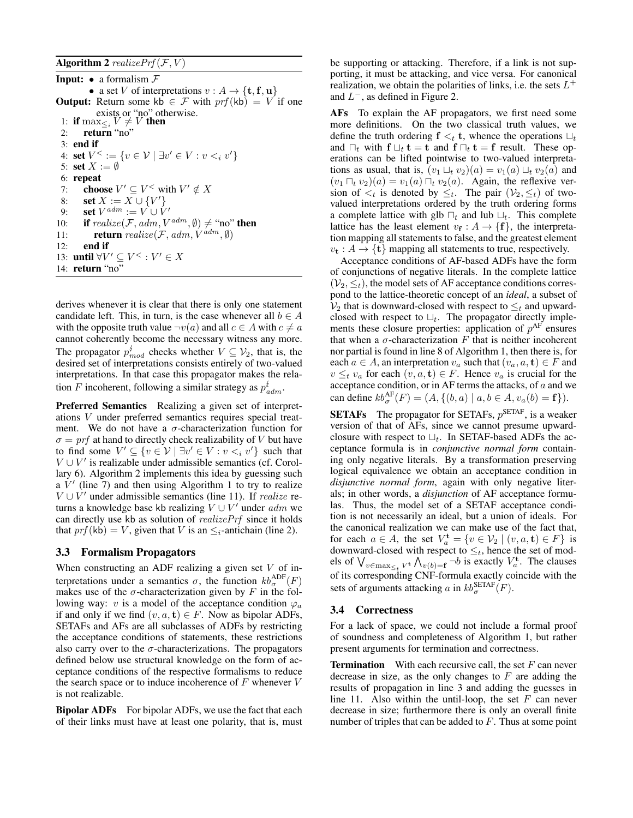Algorithm 2 realize  $Prf(\mathcal{F}, V)$ 

**Input:** • a formalism  $\mathcal{F}$ • a set V of interpretations  $v : A \rightarrow \{t, f, u\}$ **Output:** Return some kb  $\in \mathcal{F}$  with  $prf(kb) = V$  if one exists or "no" otherwise.<br>1: **if**  $\max_{\leq i} V \neq V$  **then** 2: return "no" 3: end if 4: **set**  $V^{\leq} := \{ v \in V \mid \exists v' \in V : v \leq_i v' \}$ 5: set  $X := \emptyset$ 6: repeat 7: **choose**  $V' \subseteq V^{\le}$  with  $V' \notin X$ 8: **set**  $X := X \cup \{V'\}$ 9: **set**  $V^{adm} := V \cup V'$ 10: if  $\text{realize}(\mathcal{F}, \text{adm}, \text{V}^{\text{adm}}, \emptyset) \neq \text{``no''}$  then 11: **return** realize(F, adm,  $V^{adm}, \emptyset$ ) 12: end if 13: **until**  $\forall V' \subseteq V^{\leq} : V' \in X$ 14: return "no"

derives whenever it is clear that there is only one statement candidate left. This, in turn, is the case whenever all  $b \in A$ with the opposite truth value  $\neg v(a)$  and all  $c \in A$  with  $c \neq a$ cannot coherently become the necessary witness any more. The propagator  $p_{mod}^t$  checks whether  $V \subseteq V_2$ , that is, the desired set of interpretations consists entirely of two-valued interpretations. In that case this propagator makes the relation F incoherent, following a similar strategy as  $p_{adm}^t$ .

Preferred Semantics Realizing a given set of interpretations V under preferred semantics requires special treatment. We do not have a  $\sigma$ -characterization function for  $\sigma = prf$  at hand to directly check realizability of V but have to find some  $V' \subseteq \{v \in V \mid \exists v' \in V : v < i v'\}$  such that  $V \cup V'$  is realizable under admissible semantics (cf. Corollary 6). Algorithm 2 implements this idea by guessing such a  $V'$  (line 7) and then using Algorithm 1 to try to realize  $V \cup V'$  under admissible semantics (line 11). If *realize* returns a knowledge base kb realizing  $V \cup V'$  under  $adm$  we can directly use kb as solution of realizePrf since it holds that  $prf$ (kb) = V, given that V is an  $\leq_i$ -antichain (line 2).

#### 3.3 Formalism Propagators

When constructing an ADF realizing a given set  $V$  of interpretations under a semantics  $\sigma$ , the function  $kb_{\sigma}^{\text{ADF}}(F)$ makes use of the  $\sigma$ -characterization given by F in the following way: v is a model of the acceptance condition  $\varphi_a$ if and only if we find  $(v, a, t) \in F$ . Now as bipolar ADFs, SETAFs and AFs are all subclasses of ADFs by restricting the acceptance conditions of statements, these restrictions also carry over to the  $\sigma$ -characterizations. The propagators defined below use structural knowledge on the form of acceptance conditions of the respective formalisms to reduce the search space or to induce incoherence of  $F$  whenever  $V$ is not realizable.

Bipolar ADFs For bipolar ADFs, we use the fact that each of their links must have at least one polarity, that is, must

be supporting or attacking. Therefore, if a link is not supporting, it must be attacking, and vice versa. For canonical realization, we obtain the polarities of links, i.e. the sets  $L^+$ and  $L^-$ , as defined in Figure 2.

AFs To explain the AF propagators, we first need some more definitions. On the two classical truth values, we define the truth ordering  $f \lt_t t$ , whence the operations  $\sqcup_t$ and  $\bigcap_t$  with  $f \bigcup_t t = t$  and  $f \bigcap_t t = f$  result. These operations can be lifted pointwise to two-valued interpretations as usual, that is,  $(v_1 \sqcup_t v_2)(a) = v_1(a) \sqcup_t v_2(a)$  and  $(v_1 \sqcap_t v_2)(a) = v_1(a) \sqcap_t v_2(a)$ . Again, the reflexive version of  $\lt_t$  is denoted by  $\leq_t$ . The pair  $(\mathcal{V}_2, \leq_t)$  of twovalued interpretations ordered by the truth ordering forms a complete lattice with glb  $\Box_t$  and lub  $\Box_t$ . This complete lattice has the least element  $v_{\mathbf{f}}: A \to \{\mathbf{f}\}\text{, the interpretation}$ tion mapping all statements to false, and the greatest element  $v_{\mathbf{t}} : A \to {\mathbf{t}}$  mapping all statements to true, respectively.

Acceptance conditions of AF-based ADFs have the form of conjunctions of negative literals. In the complete lattice  $(V_2, \leq_t)$ , the model sets of AF acceptance conditions correspond to the lattice-theoretic concept of an *ideal*, a subset of  $V_2$  that is downward-closed with respect to  $\leq_t$  and upwardclosed with respect to  $\sqcup_t$ . The propagator directly implements these closure properties: application of  $p^{AF}$  ensures that when a  $\sigma$ -characterization  $F$  that is neither incoherent nor partial is found in line 8 of Algorithm 1, then there is, for each  $a \in A$ , an interpretation  $v_a$  such that  $(v_a, a, t) \in F$  and  $v \leq_t v_a$  for each  $(v, a, t) \in F$ . Hence  $v_a$  is crucial for the acceptance condition, or in AF terms the attacks, of  $a$  and we can define  $kb_{\sigma}^{AF}(F) = (A, \{(b, a) | a, b \in A, v_a(b) = \mathbf{f}\}).$ 

**SETAFs** The propagator for SETAFs,  $p^{\text{SETAF}}$ , is a weaker version of that of AFs, since we cannot presume upwardclosure with respect to  $\sqcup_t$ . In SETAF-based ADFs the acceptance formula is in *conjunctive normal form* containing only negative literals. By a transformation preserving logical equivalence we obtain an acceptance condition in *disjunctive normal form*, again with only negative literals; in other words, a *disjunction* of AF acceptance formulas. Thus, the model set of a SETAF acceptance condition is not necessarily an ideal, but a union of ideals. For the canonical realization we can make use of the fact that, for each  $a \in A$ , the set  $V_a^{\mathbf{t}} = \{v \in V_2 \mid (v, a, \mathbf{t}) \in F\}$  is downward-closed with respect to  $\leq_t$ , hence the set of models of  $\bigvee_{v \in \max_{\leq t} V^{\mathbf{t}}} \bigwedge_{v(b)=\mathbf{f}} \neg b$  is exactly  $V_a^{\mathbf{t}}$ . The clauses of its corresponding CNF-formula exactly coincide with the sets of arguments attacking a in  $kb_{\sigma}^{\text{SETAF}}(F)$ .

#### 3.4 Correctness

For a lack of space, we could not include a formal proof of soundness and completeness of Algorithm 1, but rather present arguments for termination and correctness.

**Termination** With each recursive call, the set  $F$  can never decrease in size, as the only changes to  $F$  are adding the results of propagation in line 3 and adding the guesses in line 11. Also within the until-loop, the set  $F$  can never decrease in size; furthermore there is only an overall finite number of triples that can be added to  $F$ . Thus at some point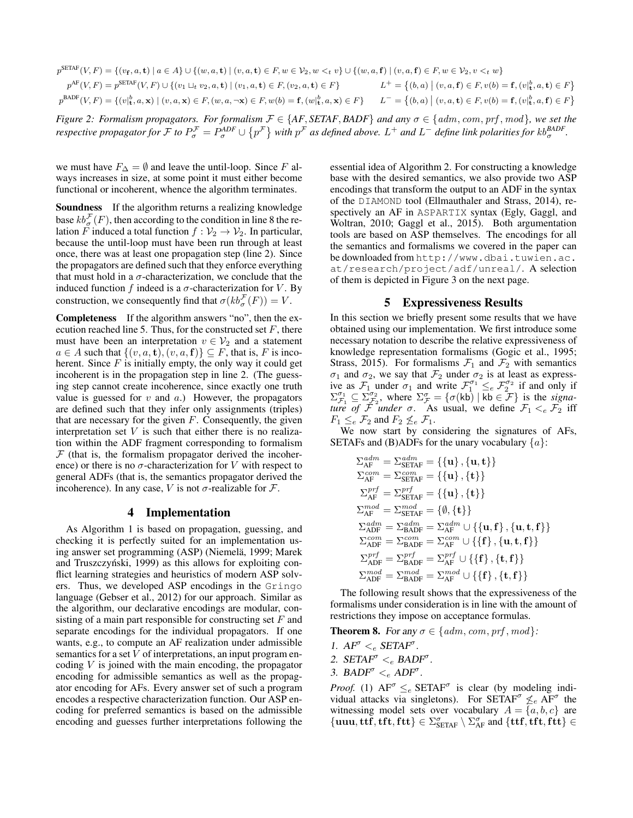$$
p^{\text{SETAF}}(V, F) = \{(v_{\mathbf{f}}, a, \mathbf{t}) \mid a \in A\} \cup \{(w, a, \mathbf{t}) \mid (v, a, \mathbf{t}) \in F, w \in \mathcal{V}_2, w <_{t} v\} \cup \{(w, a, \mathbf{f}) \mid (v, a, \mathbf{f}) \in F, w \in \mathcal{V}_2, v <_{t} w\}
$$
\n
$$
p^{\text{A}\text{F}}(V, F) = p^{\text{SETAF}}(V, F) \cup \{(v_1 \sqcup_{t} v_2, a, \mathbf{t}) \mid (v_1, a, \mathbf{t}) \in F, (v_2, a, \mathbf{t}) \in F\}
$$
\n
$$
L^+ = \{(b, a) \mid (v, a, \mathbf{f}) \in F, v(b) = \mathbf{f}, (v|_t^b, a, \mathbf{t}) \in F\}
$$
\n
$$
p^{\text{B}\text{AD}\text{F}}(V, F) = \{(v|_t^b, a, \mathbf{x}) \mid (v, a, \mathbf{x}) \in F, (w, a, \neg \mathbf{x}) \in F, w(b) = \mathbf{f}, (w|_t^b, a, \mathbf{x}) \in F\}
$$
\n
$$
L^- = \{(b, a) \mid (v, a, \mathbf{t}) \in F, v(b) = \mathbf{f}, (v|_t^b, a, \mathbf{f}) \in F\}
$$

*Figure 2: Formalism propagators. For formalism*  $F \in \{AF, SETAF, BADF\}$  *and any*  $\sigma \in \{adm, com, prf, mod\}$ *, we set the respective propagator for*  $\mathcal F$  *to*  $P_\sigma^{\mathcal F} = P_\sigma^{ADE} \cup \{p^\mathcal F\}$  with  $p^\mathcal F$  as defined above.  $L^+$  and  $L^-$  define link polarities for  $kb_\sigma^{BADE}$ .

we must have  $F_{\Delta} = \emptyset$  and leave the until-loop. Since F always increases in size, at some point it must either become functional or incoherent, whence the algorithm terminates.

Soundness If the algorithm returns a realizing knowledge base  $kb_{\sigma}^{\mathcal{F}}(F)$ , then according to the condition in line 8 the relation F induced a total function  $f: \mathcal{V}_2 \to \mathcal{V}_2$ . In particular, because the until-loop must have been run through at least once, there was at least one propagation step (line 2). Since the propagators are defined such that they enforce everything that must hold in a  $\sigma$ -characterization, we conclude that the induced function f indeed is a  $\sigma$ -characterization for V. By construction, we consequently find that  $\sigma(kb_{\sigma}^{\mathcal{F}}(F)) = V$ .

Completeness If the algorithm answers "no", then the execution reached line 5. Thus, for the constructed set  $F$ , there must have been an interpretation  $v \in V_2$  and a statement  $a \in A$  such that  $\{(v, a, t), (v, a, f)\} \subseteq F$ , that is, F is incoherent. Since  $F$  is initially empty, the only way it could get incoherent is in the propagation step in line 2. (The guessing step cannot create incoherence, since exactly one truth value is guessed for  $v$  and  $a$ .) However, the propagators are defined such that they infer only assignments (triples) that are necessary for the given  $F$ . Consequently, the given interpretation set  $V$  is such that either there is no realization within the ADF fragment corresponding to formalism  $F$  (that is, the formalism propagator derived the incoherence) or there is no  $\sigma$ -characterization for V with respect to general ADFs (that is, the semantics propagator derived the incoherence). In any case, V is not  $\sigma$ -realizable for  $\mathcal{F}$ .

## 4 Implementation

As Algorithm 1 is based on propagation, guessing, and checking it is perfectly suited for an implementation using answer set programming (ASP) (Niemela, 1999; Marek ¨ and Truszczyński, 1999) as this allows for exploiting conflict learning strategies and heuristics of modern ASP solvers. Thus, we developed ASP encodings in the Gringo language (Gebser et al., 2012) for our approach. Similar as the algorithm, our declarative encodings are modular, consisting of a main part responsible for constructing set  $F$  and separate encodings for the individual propagators. If one wants, e.g., to compute an AF realization under admissible semantics for a set  $V$  of interpretations, an input program encoding  $V$  is joined with the main encoding, the propagator encoding for admissible semantics as well as the propagator encoding for AFs. Every answer set of such a program encodes a respective characterization function. Our ASP encoding for preferred semantics is based on the admissible encoding and guesses further interpretations following the essential idea of Algorithm 2. For constructing a knowledge base with the desired semantics, we also provide two ASP encodings that transform the output to an ADF in the syntax of the DIAMOND tool (Ellmauthaler and Strass, 2014), respectively an AF in ASPARTIX syntax (Egly, Gaggl, and Woltran, 2010; Gaggl et al., 2015). Both argumentation tools are based on ASP themselves. The encodings for all the semantics and formalisms we covered in the paper can be downloaded from http://www.dbai.tuwien.ac. at/research/project/adf/unreal/. A selection of them is depicted in Figure 3 on the next page.

#### 5 Expressiveness Results

In this section we briefly present some results that we have obtained using our implementation. We first introduce some necessary notation to describe the relative expressiveness of knowledge representation formalisms (Gogic et al., 1995; Strass, 2015). For formalisms  $\mathcal{F}_1$  and  $\mathcal{F}_2$  with semantics  $\sigma_1$  and  $\sigma_2$ , we say that  $\mathcal{F}_2$  under  $\sigma_2$  is at least as expressive as  $\mathcal{F}_1$  under  $\sigma_1$  and write  $\mathcal{F}_1^{\sigma_1} \leq_e \mathcal{F}_2^{\sigma_2}$  if and only if  $\Sigma_{\mathcal{F}_1}^{\sigma_1} \subseteq \Sigma_{\mathcal{F}_2}^{\sigma_2}$ , where  $\Sigma_{\mathcal{F}}^{\sigma} = {\sigma(kb) | kb \in \mathcal{F}}$  is the *signature of*  $\mathcal{F}$  *under*  $\sigma$ . As usual, we define  $\mathcal{F}_1 \leq_e \mathcal{F}_2$  iff  $F_1 \leq_e \mathcal{F}_2$  and  $F_2 \nleq_e \mathcal{F}_1$ .

We now start by considering the signatures of AFs, SETAFs and (B)ADFs for the unary vocabulary  $\{a\}$ :

$$
\begin{aligned} &\Sigma_{\mathrm{AF}}^{adm}=\Sigma_{\mathrm{SETAF}}^{adm}=\{\{\mathbf{u}\}\,,\{\mathbf{u},\mathbf{t}\}\}\\ &\Sigma_{\mathrm{AF}}^{com}=\Sigma_{\mathrm{SETAF}}^{com}=\{\{\mathbf{u}\}\,,\{\mathbf{t}\}\}\\ &\Sigma_{\mathrm{AF}}^{prf}=\Sigma_{\mathrm{SETAF}}^{prf}=\{\{\mathbf{u}\}\,,\{\mathbf{t}\}\}\\ &\Sigma_{\mathrm{AF}}^{mod}=\Sigma_{\mathrm{SETAF}}^{mod}=\{\emptyset,\{\mathbf{t}\}\}\\ &\Sigma_{\mathrm{ABF}}^{adm}=\Sigma_{\mathrm{BADF}}^{adm}=\Sigma_{\mathrm{AF}}^{adm}\cup\{\{\mathbf{u},\mathbf{f}\}\,,\{\mathbf{u},\mathbf{t},\mathbf{f}\}\}\\ &\Sigma_{\mathrm{ADF}}^{com}=\Sigma_{\mathrm{BADF}}^{com}=\Sigma_{\mathrm{AF}}^{cor} \cup \{\{\mathbf{f}\}\,,\{\mathbf{u},\mathbf{t},\mathbf{f}\}\}\\ &\Sigma_{\mathrm{ADF}}^{prf}=\Sigma_{\mathrm{BADF}}^{prf}=\Sigma_{\mathrm{AF}}^{prf}\cup\{\{\mathbf{f}\}\,,\{\mathbf{t},\mathbf{f}\}\}\\ &\Sigma_{\mathrm{ADF}}^{mod}=\Sigma_{\mathrm{BADF}}^{mod}=\Sigma_{\mathrm{AF}}^{med}\cup\{\{\mathbf{f}\}\,,\{\mathbf{t},\mathbf{f}\}\}\end{aligned}
$$

The following result shows that the expressiveness of the formalisms under consideration is in line with the amount of restrictions they impose on acceptance formulas.

**Theorem 8.** For any  $\sigma \in \{adm, com, prf, mod\}$ :

- 1.  $AF^{\sigma} <_{e} SETAF^{\sigma}$ .
- 2.  $SETAF^{\sigma} <_{e} BADF^{\sigma}$ .
- 3. BAD $F^{\sigma} <_{e} ADF^{\sigma}$ .

*Proof.* (1)  $AF^{\sigma} \leq_e \text{SETAF}^{\sigma}$  is clear (by modeling individual attacks via singletons). For SETAF<sup> $\sigma$ </sup>  $\nleq_e$  AF<sup> $\sigma$ </sup> the witnessing model sets over vocabulary  $A = \{a, b, c\}$  are  $\{uuu,tt\tilde{f},tttt,ftt\} \in \Sigma_{\text{SETAF}}^{\sigma} \setminus \Sigma_{\text{AF}}^{\sigma}$  and  $\{ttff,tttt,ftt\} \in$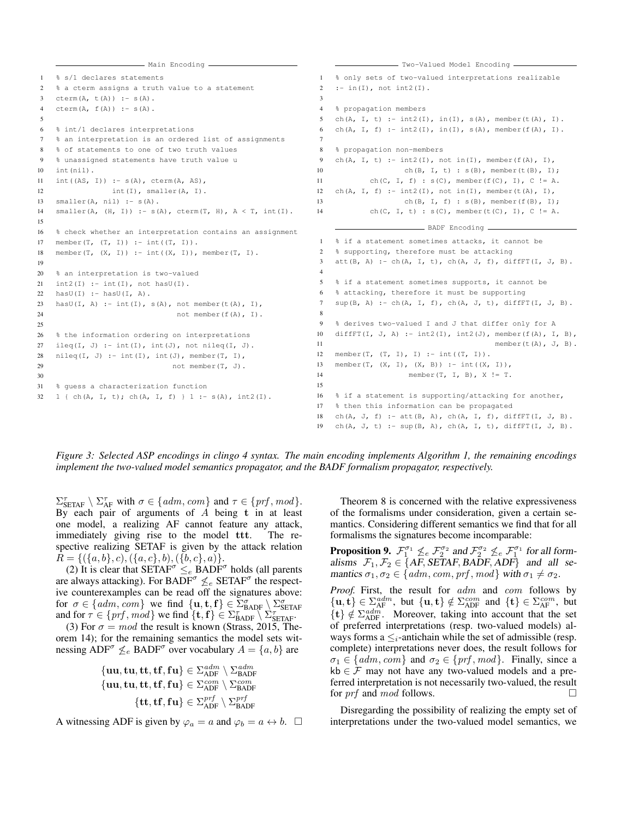```
- Main Encoding
1 % s/1 declares statements
2 % a cterm assigns a truth value to a statement
3 cterm(A, t(A)) :- s(A).
4 cterm(A, f(A)) :- s(A).
5
6 % int/1 declares interpretations
7 % an interpretation is an ordered list of assignments
8 % of statements to one of two truth values
9 % unassigned statements have truth value u
10 int(nil).
11 int((AS, I)) :- s(A), cterm(A, AS),
12 int(I), smaller(A, I).
13 smaller(A, nil) :- s(A).
14 smaller(A, (H, I)) :- s(A), cterm(T, H), A < T, int(I).
15
16 % check whether an interpretation contains an assignment
17 member(T, (T, I)) :- int((T, I)).
18 member(T, (X, I)) :- int((X, I)), member(T, I).
19
20 % an interpretation is two-valued
21 int2(I) :- int(I), not hasU(I).
22 hasU(I) :- hasU(I, A).
23 hasU(I, A) :- int(I), s(A), not member(t(A), I),
24 not member(f(A), I).
25
26 % the information ordering on interpretations
27 ileq(I, J) :- int(I), int(J), not nileq(I, J).
28 nileq(I, J) :- int(I), int(J), member(T, I),
29 not member(T, J).
30
31 % guess a characterization function
32 1 { ch(A, I, t); ch(A, I, f) } 1 :- s(A), int2(I).
                                                                            - Two-Valued Model Encoding
                                                            1 % only sets of two-valued interpretations realizable
                                                            2 : = \text{in}(I), not \text{int2}(I).
                                                            3
                                                            4 % propagation members
                                                            5 ch(A, I, t) :- int2(I), in(I), s(A), member(t(A), I).
                                                            6 ch(A, I, f) :- int2(I), in(I), s(A), member(f(A), I).
                                                            7
                                                            8 % propagation non-members
                                                            9 ch(A, I, t) :- int2(I), not in(I), member(f(A), I),
                                                           10 ch(B, I, t) : s(B), member(t(B), I);
                                                           11 ch(C, I, f) : s(C), member(f(C), I), C := A.
                                                           12 ch(A, I, f) :- int2(I), not in(I), member(t(A), I),
                                                           13 ch(B, I, f) : s(B), member(f(B), I);
                                                           14 ch(C, I, t) : s(C), member(t(C), I), C != A.
                                                                                 - BADF Encoding
                                                            1 % if a statement sometimes attacks, it cannot be
                                                            2 % supporting, therefore must be attacking
                                                            3 att(B, A) :- ch(A, I, t), ch(A, J, f), diffFT(I, J, B).
                                                            4
                                                            5 % if a statement sometimes supports, it cannot be
                                                            6 % attacking, therefore it must be supporting
                                                            7 sup(B, A) :- ch(A, I, f), ch(A, J, t), diffFT(I, J, B).
                                                            8
                                                           9 % derives two-valued I and J that differ only for A
                                                           10 diffFT(I, J, A) :- int2(I), int2(J), member(f(A), I, B),
                                                           11 member(t(A), J, B).
                                                           12 member(T, (T, I), I) :- int((T, I)).
                                                           13 member(T, (X, I), (X, B)) :- int((X, I)),
                                                           14 member(T, I, B), X := T.
                                                           15
                                                           16 % if a statement is supporting/attacking for another,
                                                           17 % then this information can be propagated
                                                           18 ch(A, J, f) :- att(B, A), ch(A, I, f), diffFT(I, J, B).
                                                           19 ch(A, J, t) :- sup(B, A), ch(A, I, t), diffFT(I, J, B).
```
*Figure 3: Selected ASP encodings in clingo 4 syntax. The main encoding implements Algorithm 1, the remaining encodings implement the two-valued model semantics propagator, and the BADF formalism propagator, respectively.*

 $\Sigma_{\text{SETAF}}^{\tau} \setminus \Sigma_{\text{AF}}^{\tau}$  with  $\sigma \in \{adm, com\}$  and  $\tau \in \{prf, mod\}$ . By each pair of arguments of  $A$  being  $t$  in at least one model, a realizing AF cannot feature any attack, immediately giving rise to the model ttt. The respective realizing SETAF is given by the attack relation  $R = \{(\{a, b\}, c), (\{a, c\}, b), (\{b, c\}, a)\}.$ 

(2) It is clear that  $SETAF^{\sigma} \leq_e BADF^{\sigma}$  holds (all parents are always attacking). For BADF<sup> $\sigma$ </sup>  $\leq_e$  SETAF<sup> $\sigma$ </sup> the respective counterexamples can be read off the signatures above: for  $\sigma \in \{adm, com\}$  we find  $\{u, t, f\} \in \Sigma_{\text{BADF}}^{\sigma} \setminus \Sigma_{\text{SETAF}}^{\sigma}$ <br>and for  $\tau \in \{prf, mod\}$  we find  $\{t, f\} \in \Sigma_{\text{BADF}}^{\tau} \setminus \Sigma_{\text{SETAF}}^{\tau}$ .

(3) For  $\sigma = mod$  the result is known (Strass, 2015, Theorem 14); for the remaining semantics the model sets witnessing  $ADF^{\sigma} \nleq_e BADF^{\sigma}$  over vocabulary  $A = \{a, b\}$  are

$$
\begin{aligned} \{ {\bf u u}, {\bf t u}, {\bf t t}, {\bf f f u} \} &\in \Sigma_{\text{ADF}}^{adm} \setminus \Sigma_{\text{BADF}}^{adm} \\ \{ {\bf u u}, {\bf t u}, {\bf t t}, {\bf f f u} \} &\in \Sigma_{\text{ADF}}^{corn} \setminus \Sigma_{\text{BADF}}^{grf} \\ \{ {\bf t t}, {\bf f f u} \} &\in \Sigma_{\text{ADF}}^{prf} \setminus \Sigma_{\text{BADF}}^{prf} \end{aligned}
$$

A witnessing ADF is given by  $\varphi_a = a$  and  $\varphi_b = a \leftrightarrow b$ .  $\Box$ 

Theorem 8 is concerned with the relative expressiveness of the formalisms under consideration, given a certain semantics. Considering different semantics we find that for all formalisms the signatures become incomparable:

**Proposition 9.**  $\mathcal{F}_1^{\sigma_1} \nleq_e \mathcal{F}_2^{\sigma_2}$  and  $\mathcal{F}_2^{\sigma_2} \nleq_e \mathcal{F}_1^{\sigma_1}$  for all formalisms  $\mathcal{F}_1, \mathcal{F}_2 \in \{AF, SETAF, BADF, ADF\}$  and all semantics  $\sigma_1, \sigma_2 \in \{adm, com, prf, mod\}$  with  $\sigma_1 \neq \sigma_2$ .

*Proof.* First, the result for adm and com follows by  $\{u, t\} \in \sum_{AF}^{adm}$ , but  $\{u, t\} \notin \sum_{ADF}^{com}$  and  $\{t\} \in \sum_{AF}^{com}$ , but  $\{t\} \notin \Sigma_{\text{ADF}}^{adm}$ . Moreover, taking into account that the set of preferred interpretations (resp. two-valued models) always forms a  $\leq_i$ -antichain while the set of admissible (resp. complete) interpretations never does, the result follows for  $\sigma_1 \in \{adm, com\}$  and  $\sigma_2 \in \{prf, mod\}$ . Finally, since a  $kb \in \mathcal{F}$  may not have any two-valued models and a preferred interpretation is not necessarily two-valued, the result for *prf* and *mod* follows.

Disregarding the possibility of realizing the empty set of interpretations under the two-valued model semantics, we